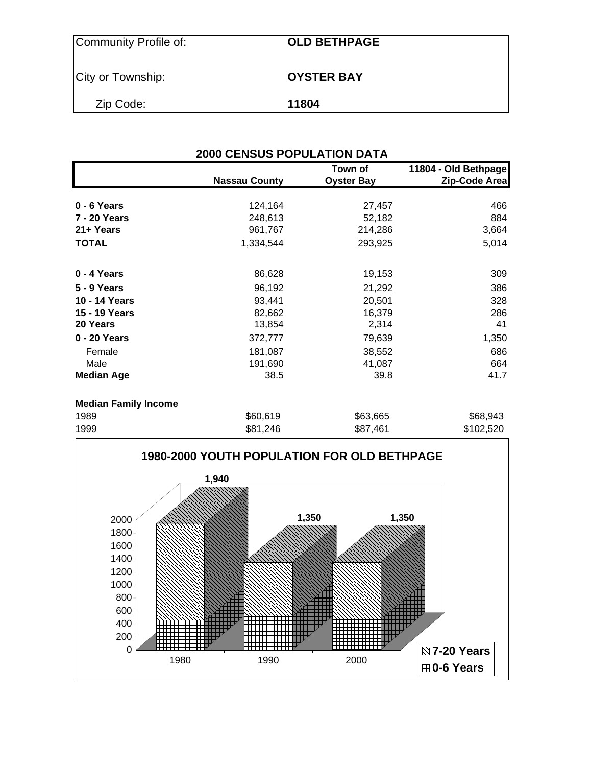| Community Profile of: | <b>OLD BETHPAGE</b> |
|-----------------------|---------------------|
| City or Township:     | <b>OYSTER BAY</b>   |
| Zip Code:             | 11804               |

| <b>2000 CENSUS POPULATION DATA</b> |                      |                              |                                       |  |  |  |  |  |
|------------------------------------|----------------------|------------------------------|---------------------------------------|--|--|--|--|--|
|                                    | <b>Nassau County</b> | Town of<br><b>Oyster Bay</b> | 11804 - Old Bethpage<br>Zip-Code Area |  |  |  |  |  |
| $0 - 6$ Years                      | 124,164              | 27,457                       | 466                                   |  |  |  |  |  |
| 7 - 20 Years                       | 248,613              | 52,182                       | 884                                   |  |  |  |  |  |
| 21+ Years                          | 961,767              | 214,286                      | 3,664                                 |  |  |  |  |  |
| <b>TOTAL</b>                       | 1,334,544            | 293,925                      | 5,014                                 |  |  |  |  |  |
| 0 - 4 Years                        | 86,628               | 19,153                       | 309                                   |  |  |  |  |  |
| 5 - 9 Years                        | 96,192               | 21,292                       | 386                                   |  |  |  |  |  |
| 10 - 14 Years                      | 93,441               | 20,501                       | 328                                   |  |  |  |  |  |
| 15 - 19 Years                      | 82,662               | 16,379                       | 286                                   |  |  |  |  |  |
| 20 Years                           | 13,854               | 2,314                        | 41                                    |  |  |  |  |  |
| 0 - 20 Years                       | 372,777              | 79,639                       | 1,350                                 |  |  |  |  |  |
| Female                             | 181,087              | 38,552                       | 686                                   |  |  |  |  |  |
| Male                               | 191,690              | 41,087                       | 664                                   |  |  |  |  |  |
| <b>Median Age</b>                  | 38.5                 | 39.8                         | 41.7                                  |  |  |  |  |  |
| <b>Median Family Income</b>        |                      |                              |                                       |  |  |  |  |  |
| 1989                               | \$60,619             | \$63,665                     | \$68,943                              |  |  |  |  |  |
| 1999                               | \$81,246             | \$87,461                     | \$102,520                             |  |  |  |  |  |

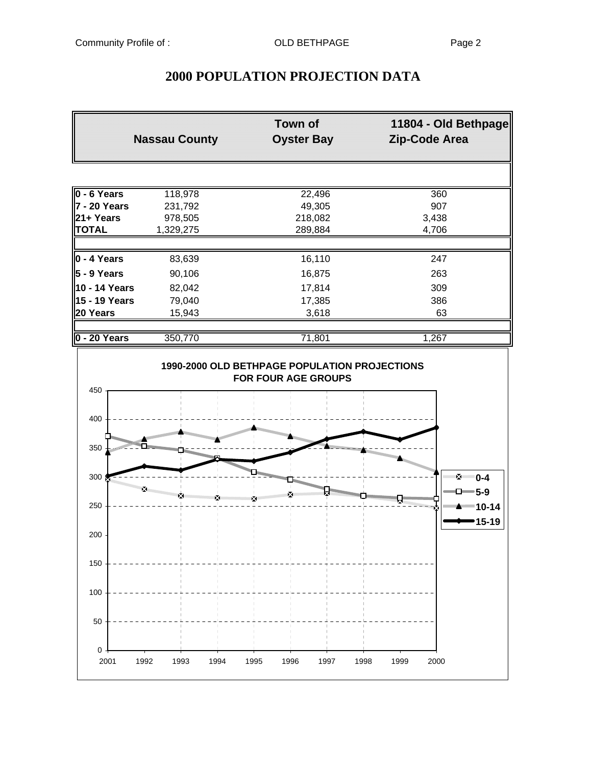# **2000 POPULATION PROJECTION DATA**

|                             | <b>Nassau County</b> | <b>Town of</b><br><b>Oyster Bay</b> | 11804 - Old Bethpage<br>Zip-Code Area |
|-----------------------------|----------------------|-------------------------------------|---------------------------------------|
|                             |                      |                                     |                                       |
| 0 - 6 Years                 | 118,978              | 22,496                              | 360                                   |
| 7 - 20 Years                | 231,792              | 49,305                              | 907                                   |
| 21+ Years                   | 978,505              | 218,082                             | 3,438                                 |
| <b>TOTAL</b>                | 1,329,275            | 289,884                             | 4,706                                 |
| $0 - 4$ Years               | 83,639               | 16,110                              | 247                                   |
| $5 - 9$ Years               | 90,106               | 16,875                              | 263                                   |
| 10 - 14 Years               | 82,042               | 17,814                              | 309                                   |
| 15 - 19 Years               | 79,040               | 17,385                              | 386                                   |
| 20 Years                    | 15,943               | 3,618                               | 63                                    |
| 0 - 20 Years                | 350,770              | 71,801                              | 1,267                                 |
| 450<br>400                  |                      | <b>Management</b>                   |                                       |
| <b>SHOPPER CARDS</b><br>350 |                      |                                     |                                       |
| 300                         | Manasan ing Pa<br>×  |                                     | ™⊻ 0-4<br>-□━5-9                      |
| 250                         |                      |                                     | ■■■■ 10-14<br>15-19                   |
| 200                         |                      |                                     |                                       |
| 150                         |                      |                                     |                                       |
| 100                         |                      |                                     |                                       |
| 50                          |                      |                                     |                                       |
| 0<br>2001<br>1992           | 1993<br>1994         | 1995<br>1996<br>1997                | 1999<br>2000<br>1998                  |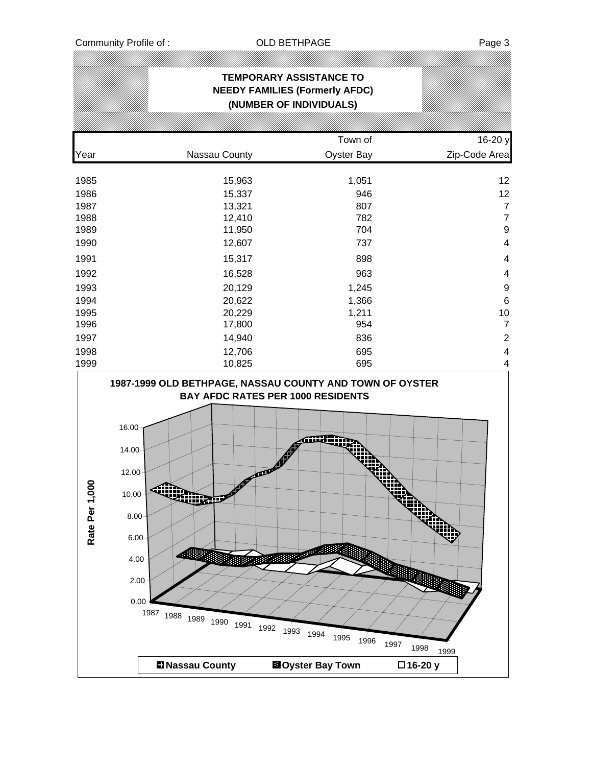## **TEMPORARY ASSISTANCE TO NEEDY FAMILIES (Formerly AFDC) (NUMBER OF INDIVIDUALS)** Town of 16-20 y Year **Nassau County County** Coupter Bay **Zip-Code Area** 1985 15,963 1,051 12 1986 15,337 946 12 1987 13,321 807 7 1988 12,410 782 7 1989 11,950 704 9 1990 12,607 737 4 1991 15,317 898 4 1992 16,528 963 4 1993 20,129 1,245 9 1994 20,622 1,366 6 1995 20,229 1,211 10 1996 17,800 954 7 1997 14,940 836 2 1998 12,706 695 4 1999 10,825 695 4 **1987-1999 OLD BETHPAGE, NASSAU COUNTY AND TOWN OF OYSTER BAY AFDC RATES PER 1000 RESIDENTS** 16.00 **Report** 14.00 12.00 Rate Per 1,000 **Rate Per 1,000Registration** 10.00 8.00 6.00 4.00 2.00  $0.00 -$ 1987 1988 1989 1990 1991 1992 1993 1994 1995 1996 1997 1998 1999 **Example 3 Nassau County BIOyster Bay Town D16-20 y**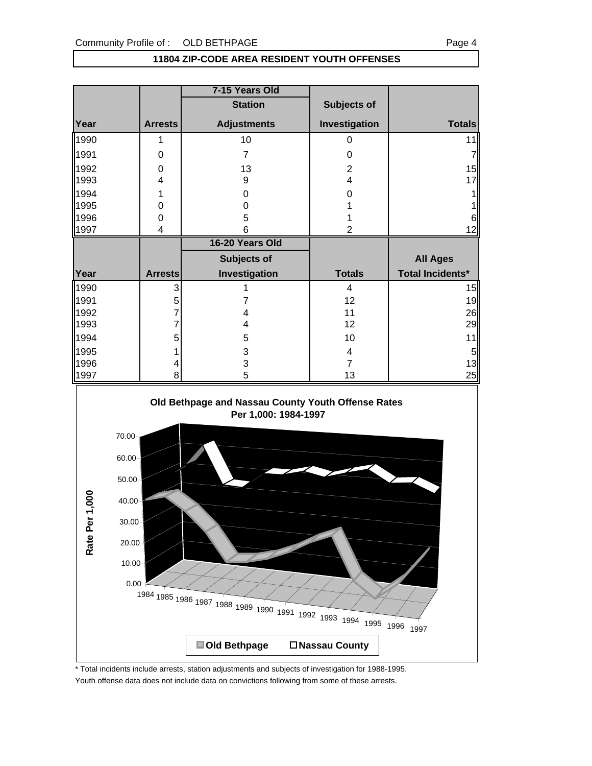#### **11804 ZIP-CODE AREA RESIDENT YOUTH OFFENSES**

|      |                | 7-15 Years Old     |               |                         |
|------|----------------|--------------------|---------------|-------------------------|
|      |                | <b>Station</b>     | Subjects of   |                         |
| Year | <b>Arrests</b> | <b>Adjustments</b> | Investigation | <b>Totals</b>           |
| 1990 | 1              | 10                 | 0             | 11                      |
| 1991 | 0              | 7                  | 0             |                         |
| 1992 | 0              | 13                 | 2             | 15                      |
| 1993 | 4              | 9                  | 4             | 17                      |
| 1994 |                | 0                  |               |                         |
| 1995 | 0              |                    |               |                         |
| 1996 | 0              | 5                  |               | 6                       |
| 1997 | 4              | 6<br>2             |               |                         |
|      |                |                    |               |                         |
|      |                | 16-20 Years Old    |               |                         |
|      |                | Subjects of        |               | <b>All Ages</b>         |
| Year | <b>Arrests</b> | Investigation      | <b>Totals</b> | <b>Total Incidents*</b> |
| 1990 | 3              |                    | 4             | 15                      |
| 1991 | 5              |                    | 12            | 19                      |
| 1992 | 7              | 4                  | 11            | 26                      |
| 1993 | 7              | 4                  | 12            | 29                      |
| 1994 | 5              | 5                  | 10            | 11                      |
| 1995 |                | 3                  | 4             | $\overline{5}$          |
| 1996 |                | 3<br>5             | 7             | 13<br>25                |

### **Old Bethpage and Nassau County Youth Offense Rates Per 1,000: 1984-1997**



\* Total incidents include arrests, station adjustments and subjects of investigation for 1988-1995. Youth offense data does not include data on convictions following from some of these arrests.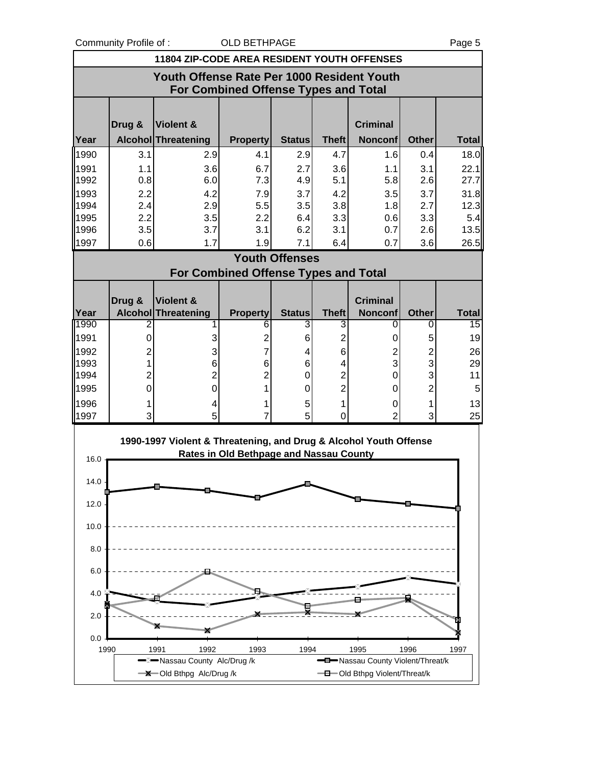Community Profile of : COLD BETHPAGE Page 5

|      |                                             |                                                                   |                                             |                       |                     |                                           |                | ı uyu u      |
|------|---------------------------------------------|-------------------------------------------------------------------|---------------------------------------------|-----------------------|---------------------|-------------------------------------------|----------------|--------------|
|      | 11804 ZIP-CODE AREA RESIDENT YOUTH OFFENSES |                                                                   |                                             |                       |                     |                                           |                |              |
|      |                                             | Youth Offense Rate Per 1000 Resident Youth                        | For Combined Offense Types and Total        |                       |                     |                                           |                |              |
|      | Drug &                                      | <b>Violent &amp;</b>                                              |                                             |                       |                     | <b>Criminal</b>                           |                |              |
| Year |                                             | Alcohol Threatening                                               | <b>Property</b>                             | <b>Status</b>         | <b>Theft</b>        | <b>Nonconf</b>                            | <b>Other</b>   | <b>Total</b> |
| 1990 | 3.1                                         | 2.9                                                               | 4.1                                         | 2.9                   | 4.7                 | 1.6                                       | 0.4            | 18.0         |
| 1991 | 1.1                                         | 3.6                                                               | 6.7                                         | 2.7                   | 3.6                 | 1.1                                       | 3.1            | 22.1         |
| 1992 | 0.8                                         | 6.0                                                               | 7.3                                         | 4.9                   | 5.1                 | 5.8                                       | 2.6            | 27.7         |
| 1993 | 2.2                                         | 4.2                                                               | 7.9                                         | 3.7                   | 4.2                 | 3.5                                       | 3.7            | 31.8         |
| 1994 | 2.4                                         | 2.9                                                               | 5.5                                         | 3.5                   | 3.8                 | 1.8                                       | 2.7            | 12.3         |
| 1995 | 2.2                                         | 3.5                                                               | 2.2                                         | 6.4                   | 3.3                 | 0.6                                       | 3.3            | 5.4          |
| 1996 | 3.5                                         | 3.7                                                               | 3.1                                         | 6.2                   | 3.1                 | 0.7                                       | 2.6            | 13.5         |
| 1997 | 0.6                                         | 1.7                                                               | 1.9                                         | 7.1                   | 6.4                 | 0.7                                       | 3.6            | 26.5         |
|      |                                             |                                                                   |                                             | <b>Youth Offenses</b> |                     |                                           |                |              |
|      |                                             |                                                                   | <b>For Combined Offense Types and Total</b> |                       |                     |                                           |                |              |
|      |                                             |                                                                   |                                             |                       |                     |                                           |                |              |
|      | Drug &                                      | Violent &                                                         |                                             |                       |                     | <b>Criminal</b>                           |                |              |
| Year |                                             | Alcohol Threatening                                               | <b>Property</b>                             | <b>Status</b>         | <b>Theft</b>        | <b>Nonconf</b>                            | <b>Other</b>   | <b>Total</b> |
| 1990 | 2                                           |                                                                   | 6                                           | 3                     | 3                   | 0                                         | 0              | 15           |
| 1991 | 0                                           | 3                                                                 | $\overline{c}$                              | 6                     | 2                   | 0                                         | 5              | 19           |
| 1992 | $\overline{c}$                              | 3                                                                 | $\overline{7}$                              | 4                     | 6                   | $\overline{\mathbf{c}}$                   | $\overline{c}$ | 26           |
| 1993 | 1                                           | 6                                                                 | 6<br>$\overline{2}$                         | 6                     | 4<br>$\overline{2}$ | 3                                         | 3<br>3         | 29           |
| 1994 | $\overline{2}$                              | 2                                                                 |                                             | 0                     |                     | 0                                         |                | 11           |
| 1995 | 0                                           | 0                                                                 | 1                                           | 0                     | $\overline{2}$      | 0                                         | $\overline{2}$ | 5            |
| 1996 | 1                                           | 4                                                                 | 1                                           | 5                     | 1                   | 0<br>$\overline{2}$                       | 1              | 13           |
| 1997 | 3                                           | 5                                                                 | 7                                           | 5                     | 0                   |                                           | 3              | 25           |
|      |                                             | 1990-1997 Violent & Threatening, and Drug & Alcohol Youth Offense |                                             |                       |                     |                                           |                |              |
| 16.0 |                                             |                                                                   | Rates in Old Bethpage and Nassau County     |                       |                     |                                           |                |              |
|      |                                             |                                                                   |                                             |                       |                     |                                           |                |              |
| 14.0 |                                             |                                                                   |                                             |                       |                     |                                           |                |              |
| 12.0 |                                             |                                                                   |                                             |                       |                     |                                           |                |              |
| 10.0 |                                             |                                                                   |                                             |                       |                     |                                           |                |              |
| 8.0  |                                             |                                                                   |                                             |                       |                     |                                           |                |              |
| 6.0  |                                             |                                                                   |                                             |                       |                     |                                           |                |              |
| 4.0  |                                             |                                                                   |                                             |                       |                     |                                           |                |              |
| 2.0  |                                             |                                                                   |                                             |                       |                     |                                           |                |              |
| 0.0  |                                             |                                                                   |                                             |                       |                     |                                           |                |              |
| 1990 |                                             | 1991<br>1992<br>Massau County Alc/Drug/k                          | 1993                                        | 1994                  |                     | 1995<br>-D-Nassau County Violent/Threat/k | 1996           | 1997         |

**-X**-Old Bthpg Alc/Drug /k Old Bthpg Violent/Threat/k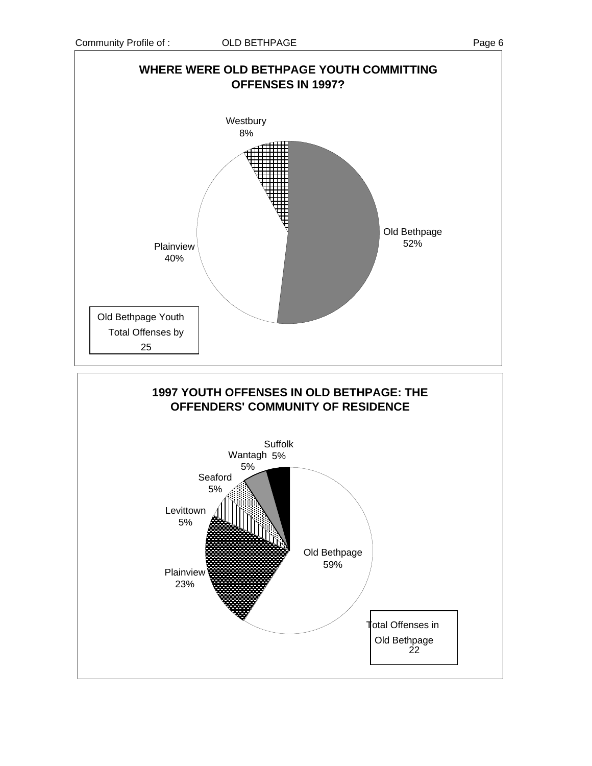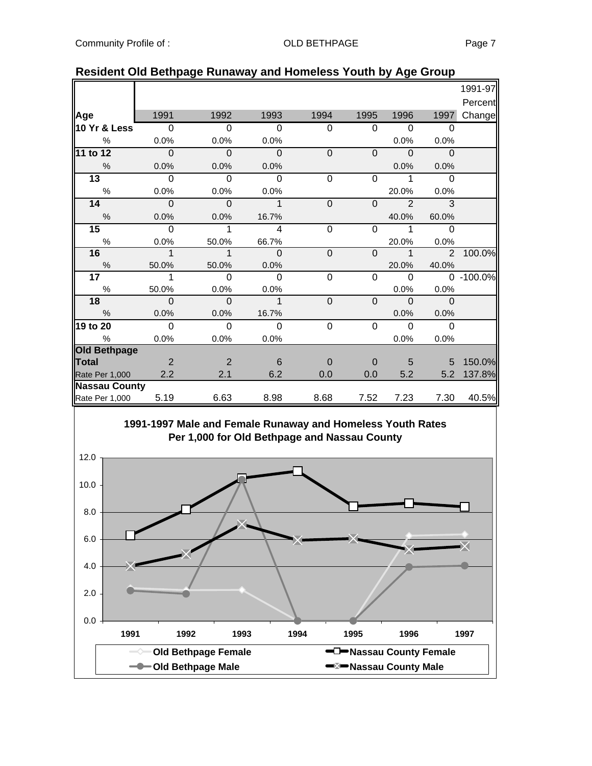|                      |                |                |                         |                |          |                |                | 1991-97    |
|----------------------|----------------|----------------|-------------------------|----------------|----------|----------------|----------------|------------|
|                      |                |                |                         |                |          |                |                | Percent    |
| Age                  | 1991           | 1992           | 1993                    | 1994           | 1995     | 1996           | 1997           | Change     |
| 10 Yr & Less         | $\overline{0}$ | $\Omega$       | $\Omega$                | 0              | $\Omega$ | $\Omega$       | $\Omega$       |            |
| $\%$                 | 0.0%           | 0.0%           | 0.0%                    |                |          | 0.0%           | 0.0%           |            |
| 11 to 12             | $\Omega$       | $\Omega$       | $\Omega$                | $\overline{0}$ | $\Omega$ | $\Omega$       | $\Omega$       |            |
| $\frac{0}{0}$        | 0.0%           | 0.0%           | 0.0%                    |                |          | 0.0%           | 0.0%           |            |
| $\overline{13}$      | $\overline{0}$ | $\mathbf 0$    | 0                       | $\overline{0}$ | $\Omega$ | 1              | $\overline{0}$ |            |
| $\%$                 | 0.0%           | 0.0%           | 0.0%                    |                |          | 20.0%          | 0.0%           |            |
| 14                   | $\mathbf{0}$   | $\Omega$       | $\mathbf 1$             | $\overline{0}$ | $\Omega$ | $\overline{2}$ | 3              |            |
| $\%$                 | 0.0%           | 0.0%           | 16.7%                   |                |          | 40.0%          | 60.0%          |            |
| 15                   | $\Omega$       | 1              | $\overline{\mathbf{4}}$ | 0              | $\Omega$ | 1              | $\Omega$       |            |
| $\%$                 | 0.0%           | 50.0%          | 66.7%                   |                |          | 20.0%          | 0.0%           |            |
| 16                   | $\mathbf 1$    | $\mathbf{1}$   | $\Omega$                | $\mathbf 0$    | $\Omega$ | $\mathbf{1}$   | $\overline{2}$ | 100.0%     |
| $\%$                 | 50.0%          | 50.0%          | 0.0%                    |                |          | 20.0%          | 40.0%          |            |
| 17                   | 1              | $\Omega$       | $\Omega$                | $\Omega$       | $\Omega$ | $\Omega$       | $\Omega$       | $-100.0\%$ |
| $\%$                 | 50.0%          | 0.0%           | 0.0%                    |                |          | 0.0%           | 0.0%           |            |
| 18                   | $\mathbf{0}$   | $\mathbf 0$    | $\mathbf{1}$            | $\overline{0}$ | $\Omega$ | $\Omega$       | $\Omega$       |            |
| $\frac{0}{0}$        | 0.0%           | 0.0%           | 16.7%                   |                |          | 0.0%           | 0.0%           |            |
| 19 to 20             | $\Omega$       | $\Omega$       | $\Omega$                | $\overline{0}$ | $\Omega$ | $\Omega$       | $\Omega$       |            |
| $\%$                 | 0.0%           | 0.0%           | 0.0%                    |                |          | 0.0%           | 0.0%           |            |
| <b>Old Bethpage</b>  |                |                |                         |                |          |                |                |            |
| Total                | $\overline{2}$ | $\overline{2}$ | 6                       | $\Omega$       | $\Omega$ | 5              | 5              | 150.0%     |
| Rate Per 1,000       | 2.2            | 2.1            | 6.2                     | 0.0            | 0.0      | 5.2            | 5.2            | 137.8%     |
| <b>Nassau County</b> |                |                |                         |                |          |                |                |            |
| Rate Per 1,000       | 5.19           | 6.63           | 8.98                    | 8.68           | 7.52     | 7.23           | 7.30           | 40.5%      |

### **Resident Old Bethpage Runaway and Homeless Youth by Age Group**



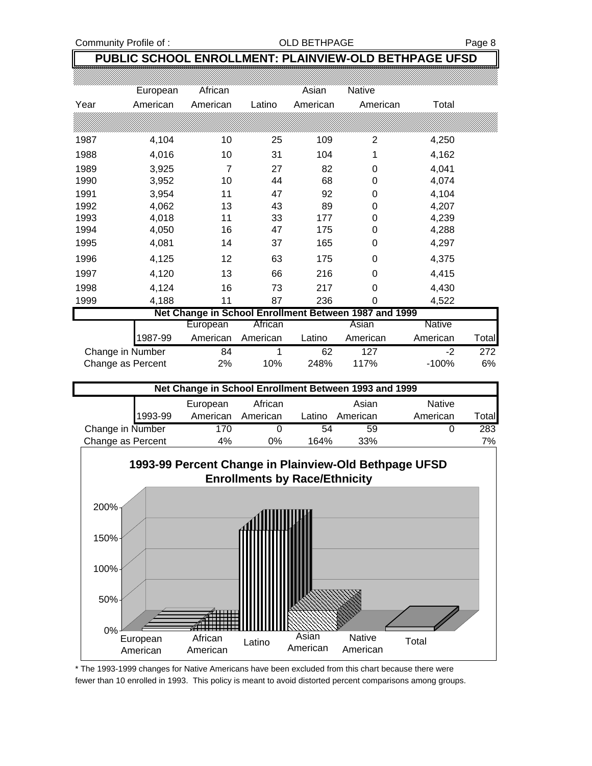Community Profile of : COLD BETHPAGE Page 8

### **PUBLIC SCHOOL ENROLLMENT: PLAINVIEW-OLD BETHPAGE UFSD**

|      | European         | African        |                | Asian    | <b>Native</b>                                         |               |       |
|------|------------------|----------------|----------------|----------|-------------------------------------------------------|---------------|-------|
| Year | American         | American       | Latino         | American | American                                              | Total         |       |
|      |                  |                |                |          |                                                       |               |       |
| 1987 | 4,104            | 10             | 25             | 109      | 2                                                     | 4,250         |       |
| 1988 | 4,016            | 10             | 31             | 104      | 1                                                     | 4,162         |       |
| 1989 | 3,925            | $\overline{7}$ | 27             | 82       | 0                                                     | 4,041         |       |
| 1990 | 3,952            | 10             | 44             | 68       | 0                                                     | 4,074         |       |
| 1991 | 3,954            | 11             | 47             | 92       | 0                                                     | 4,104         |       |
| 1992 | 4,062            | 13             | 43             | 89       | 0                                                     | 4,207         |       |
| 1993 | 4,018            | 11             | 33             | 177      | 0                                                     | 4,239         |       |
| 1994 | 4,050            | 16             | 47             | 175      | 0                                                     | 4,288         |       |
| 1995 | 4,081            | 14             | 37             | 165      | 0                                                     | 4,297         |       |
| 1996 | 4,125            | 12             | 63             | 175      | 0                                                     | 4,375         |       |
| 1997 | 4,120            | 13             | 66             | 216      | 0                                                     | 4,415         |       |
| 1998 | 4,124            | 16             | 73             | 217      | 0                                                     | 4,430         |       |
| 1999 | 4,188            | 11             | 87             | 236      | 0                                                     | 4,522         |       |
|      |                  |                |                |          | Net Change in School Enrollment Between 1987 and 1999 |               |       |
|      |                  | European       | <b>African</b> |          | Asian                                                 | <b>Native</b> |       |
|      | 1987-99          | American       | American       | Latino   | American                                              | American      | Total |
|      | Change in Number | 84             | 1              | 62       | 127                                                   | $-2$          | 272   |

| Net Change in School Enrollment Between 1993 and 1999 |         |          |          |        |          |               |       |  |
|-------------------------------------------------------|---------|----------|----------|--------|----------|---------------|-------|--|
|                                                       |         | European | African  |        | Asian    | <b>Native</b> |       |  |
|                                                       | 1993-99 | American | American | Latino | American | American      | Total |  |
| Change in Number                                      |         | 170      |          | 54     | 59       |               | 283   |  |

Change as Percent 2% 10% 248% 117% -100% 6%



<sup>\*</sup> The 1993-1999 changes for Native Americans have been excluded from this chart because there were fewer than 10 enrolled in 1993. This policy is meant to avoid distorted percent comparisons among groups.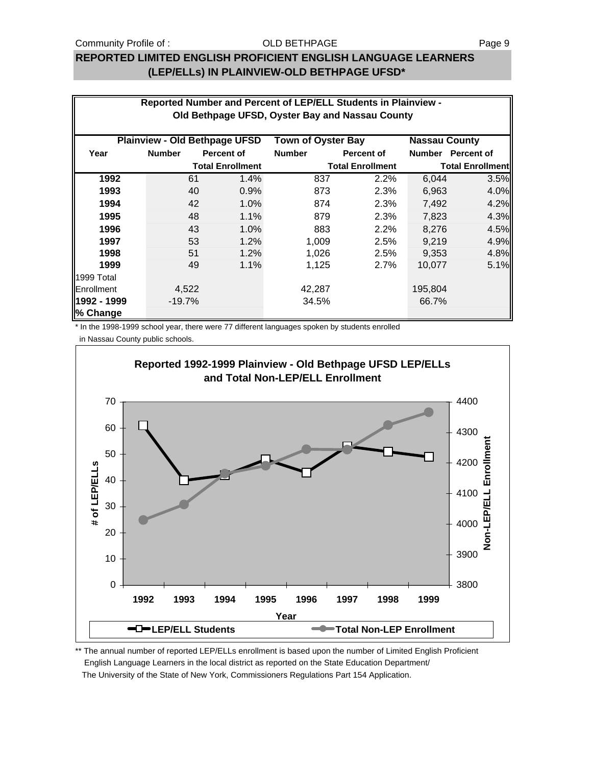### Community Profile of : COLD BETHPAGE Community Profile of :

#### OLD BETHPAGE

### **REPORTED LIMITED ENGLISH PROFICIENT ENGLISH LANGUAGE LEARNERS (LEP/ELLs) IN PLAINVIEW-OLD BETHPAGE UFSD\***

|             |                                      |                   |                         | Reported Number and Percent of LEP/ELL Students in Plainview - |                         |                      |                         |
|-------------|--------------------------------------|-------------------|-------------------------|----------------------------------------------------------------|-------------------------|----------------------|-------------------------|
|             |                                      |                   |                         | Old Bethpage UFSD, Oyster Bay and Nassau County                |                         |                      |                         |
|             |                                      |                   |                         |                                                                |                         |                      |                         |
|             | <b>Plainview - Old Bethpage UFSD</b> |                   |                         | <b>Town of Oyster Bay</b>                                      |                         | <b>Nassau County</b> |                         |
| Year        | <b>Number</b>                        | <b>Percent of</b> |                         | <b>Number</b>                                                  | <b>Percent of</b>       |                      | Number Percent of       |
|             |                                      |                   | <b>Total Enrollment</b> |                                                                | <b>Total Enrollment</b> |                      | <b>Total Enrollment</b> |
| 1992        | 61                                   |                   | 1.4%                    | 837                                                            | 2.2%                    | 6,044                | 3.5%                    |
| 1993        | 40                                   |                   | 0.9%                    | 873                                                            | 2.3%                    | 6,963                | 4.0%                    |
| 1994        | 42                                   |                   | 1.0%                    | 874                                                            | 2.3%                    | 7,492                | 4.2%                    |
| 1995        | 48                                   |                   | 1.1%                    | 879                                                            | 2.3%                    | 7,823                | 4.3%                    |
| 1996        | 43                                   |                   | 1.0%                    | 883                                                            | 2.2%                    | 8,276                | 4.5%                    |
| 1997        | 53                                   |                   | 1.2%                    | 1,009                                                          | 2.5%                    | 9.219                | 4.9%                    |
| 1998        | 51                                   |                   | 1.2%                    | 1,026                                                          | 2.5%                    | 9,353                | 4.8%                    |
| 1999        | 49                                   |                   | 1.1%                    | 1,125                                                          | 2.7%                    | 10,077               | 5.1%                    |
| 1999 Total  |                                      |                   |                         |                                                                |                         |                      |                         |
| Enrollment  | 4,522                                |                   |                         | 42,287                                                         |                         | 195,804              |                         |
| 1992 - 1999 | $-19.7%$                             |                   |                         | 34.5%                                                          |                         | 66.7%                |                         |
| % Change    |                                      |                   |                         |                                                                |                         |                      |                         |

\* In the 1998-1999 school year, there were 77 different languages spoken by students enrolled in Nassau County public schools.



\*\* The annual number of reported LEP/ELLs enrollment is based upon the number of Limited English Proficient English Language Learners in the local district as reported on the State Education Department/ The University of the State of New York, Commissioners Regulations Part 154 Application.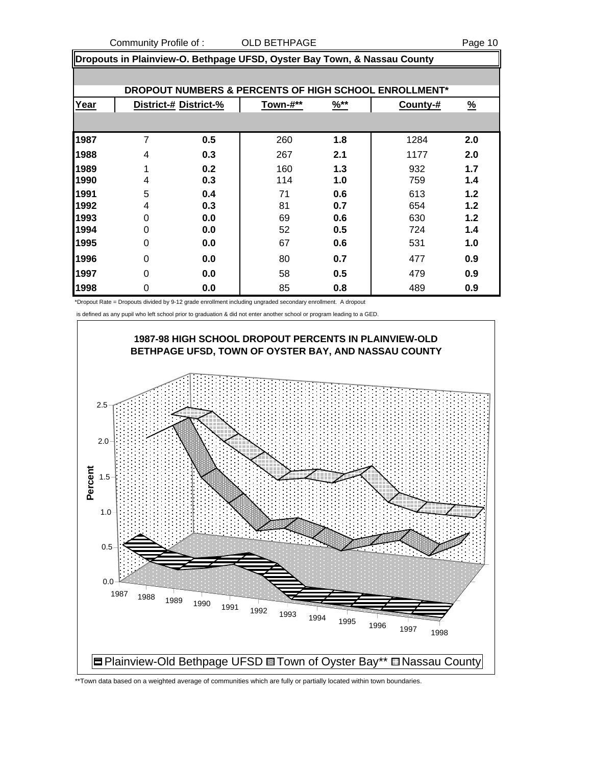Community Profile of : CLD BETHPAGE **Example 2018** Page 10

|                                                       | Dropouts in Plainview-O. Bethpage UFSD, Oyster Bay Town, & Nassau County |                       |          |                  |          |               |  |  |  |  |
|-------------------------------------------------------|--------------------------------------------------------------------------|-----------------------|----------|------------------|----------|---------------|--|--|--|--|
|                                                       |                                                                          |                       |          |                  |          |               |  |  |  |  |
| DROPOUT NUMBERS & PERCENTS OF HIGH SCHOOL ENROLLMENT* |                                                                          |                       |          |                  |          |               |  |  |  |  |
| Year                                                  |                                                                          | District-# District-% | Town-#** | $\frac{96**}{8}$ | County-# | $\frac{9}{6}$ |  |  |  |  |
|                                                       |                                                                          |                       |          |                  |          |               |  |  |  |  |
| 1987                                                  | 7                                                                        | 0.5                   | 260      | 1.8              | 1284     | 2.0           |  |  |  |  |
| 1988                                                  | 4                                                                        | 0.3                   | 267      | 2.1              | 1177     | 2.0           |  |  |  |  |
| 1989                                                  | 1                                                                        | 0.2                   | 160      | 1.3              | 932      | 1.7           |  |  |  |  |
| 1990                                                  | 4                                                                        | 0.3                   | 114      | 1.0              | 759      | 1.4           |  |  |  |  |
| 1991                                                  | 5                                                                        | 0.4                   | 71       | 0.6              | 613      | 1.2           |  |  |  |  |
| 1992                                                  | 4                                                                        | 0.3                   | 81       | 0.7              | 654      | 1.2           |  |  |  |  |
| 1993                                                  | 0                                                                        | 0.0                   | 69       | 0.6              | 630      | 1.2           |  |  |  |  |
| 1994                                                  | 0                                                                        | 0.0                   | 52       | 0.5              | 724      | 1.4           |  |  |  |  |
| 1995                                                  | 0                                                                        | 0.0                   | 67       | 0.6              | 531      | 1.0           |  |  |  |  |
| 1996                                                  | 0                                                                        | 0.0                   | 80       | 0.7              | 477      | 0.9           |  |  |  |  |
| 1997                                                  | 0                                                                        | 0.0                   | 58       | 0.5              | 479      | 0.9           |  |  |  |  |
| 1998                                                  | 0                                                                        | 0.0                   | 85       | 0.8              | 489      | 0.9           |  |  |  |  |

\*Dropout Rate = Dropouts divided by 9-12 grade enrollment including ungraded secondary enrollment. A dropout

is defined as any pupil who left school prior to graduation & did not enter another school or program leading to a GED.



\*\*Town data based on a weighted average of communities which are fully or partially located within town boundaries.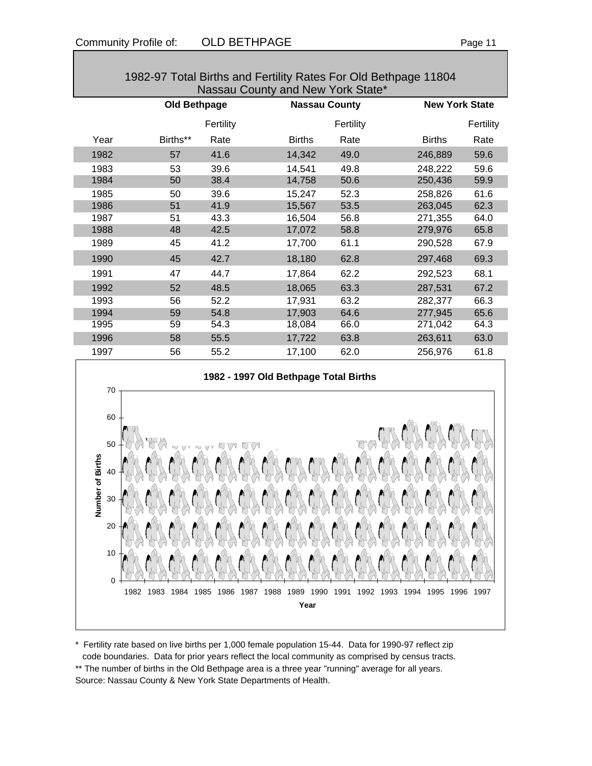| 1982-97 Total Births and Fertility Rates For Old Bethpage 11804<br>Nassau County and New York State* |                     |           |                      |           |                       |           |  |
|------------------------------------------------------------------------------------------------------|---------------------|-----------|----------------------|-----------|-----------------------|-----------|--|
|                                                                                                      | <b>Old Bethpage</b> |           | <b>Nassau County</b> |           | <b>New York State</b> |           |  |
|                                                                                                      |                     | Fertility |                      | Fertility |                       | Fertility |  |
| Year                                                                                                 | Births**            | Rate      | <b>Births</b>        | Rate      | <b>Births</b>         | Rate      |  |
| 1982                                                                                                 | 57                  | 41.6      | 14,342               | 49.0      | 246,889               | 59.6      |  |
| 1983                                                                                                 | 53                  | 39.6      | 14,541               | 49.8      | 248,222               | 59.6      |  |
| 1984                                                                                                 | 50                  | 38.4      | 14,758               | 50.6      | 250,436               | 59.9      |  |
| 1985                                                                                                 | 50                  | 39.6      | 15,247               | 52.3      | 258,826               | 61.6      |  |
| 1986                                                                                                 | 51                  | 41.9      | 15,567               | 53.5      | 263,045               | 62.3      |  |
| 1987                                                                                                 | 51                  | 43.3      | 16,504               | 56.8      | 271,355               | 64.0      |  |
| 1988                                                                                                 | 48                  | 42.5      | 17,072               | 58.8      | 279,976               | 65.8      |  |
| 1989                                                                                                 | 45                  | 41.2      | 17,700               | 61.1      | 290,528               | 67.9      |  |
| 1990                                                                                                 | 45                  | 42.7      | 18,180               | 62.8      | 297,468               | 69.3      |  |
| 1991                                                                                                 | 47                  | 44.7      | 17,864               | 62.2      | 292,523               | 68.1      |  |
| 1992                                                                                                 | 52                  | 48.5      | 18,065               | 63.3      | 287,531               | 67.2      |  |
| 1993                                                                                                 | 56                  | 52.2      | 17,931               | 63.2      | 282,377               | 66.3      |  |
| 1994                                                                                                 | 59                  | 54.8      | 17,903               | 64.6      | 277,945               | 65.6      |  |
| 1995                                                                                                 | 59                  | 54.3      | 18,084               | 66.0      | 271,042               | 64.3      |  |
| 1996                                                                                                 | 58                  | 55.5      | 17,722               | 63.8      | 263,611               | 63.0      |  |
| 1997                                                                                                 | 56                  | 55.2      | 17,100               | 62.0      | 256,976               | 61.8      |  |
|                                                                                                      |                     |           |                      |           |                       |           |  |

# **1982 - 1997 Old Bethpage Total Births**



\* Fertility rate based on live births per 1,000 female population 15-44. Data for 1990-97 reflect zip code boundaries. Data for prior years reflect the local community as comprised by census tracts. \*\* The number of births in the Old Bethpage area is a three year "running" average for all years. Source: Nassau County & New York State Departments of Health.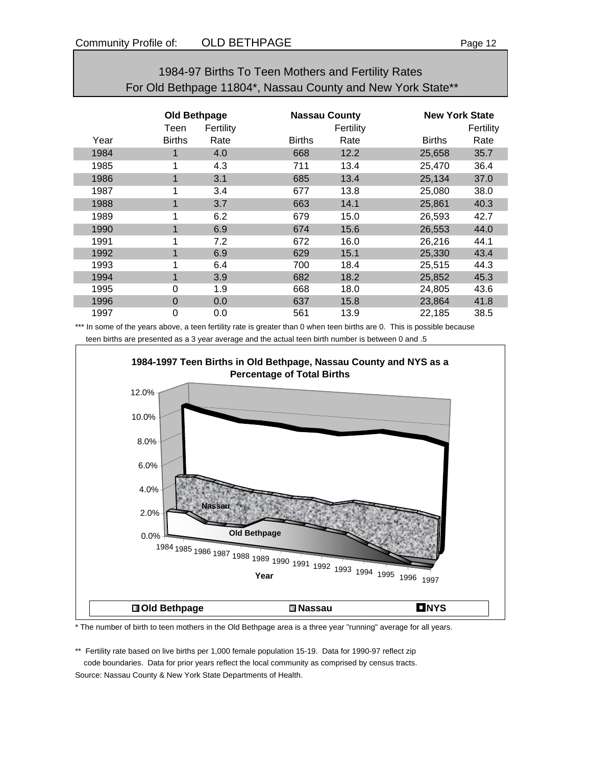| 1984-97 Births To Teen Mothers and Fertility Rates          |
|-------------------------------------------------------------|
| For Old Bethpage 11804*, Nassau County and New York State** |

|      | <b>Old Bethpage</b> |           |               | <b>Nassau County</b> |               | <b>New York State</b> |  |
|------|---------------------|-----------|---------------|----------------------|---------------|-----------------------|--|
|      | Teen                | Fertility |               | Fertility            |               | Fertility             |  |
| Year | <b>Births</b>       | Rate      | <b>Births</b> | Rate                 | <b>Births</b> | Rate                  |  |
| 1984 |                     | 4.0       | 668           | 12.2                 | 25,658        | 35.7                  |  |
| 1985 | 1                   | 4.3       | 711           | 13.4                 | 25,470        | 36.4                  |  |
| 1986 | 1                   | 3.1       | 685           | 13.4                 | 25,134        | 37.0                  |  |
| 1987 | 1                   | 3.4       | 677           | 13.8                 | 25,080        | 38.0                  |  |
| 1988 | 1                   | 3.7       | 663           | 14.1                 | 25,861        | 40.3                  |  |
| 1989 | 1                   | 6.2       | 679           | 15.0                 | 26,593        | 42.7                  |  |
| 1990 | 1                   | 6.9       | 674           | 15.6                 | 26,553        | 44.0                  |  |
| 1991 | 1                   | 7.2       | 672           | 16.0                 | 26,216        | 44.1                  |  |
| 1992 | 1                   | 6.9       | 629           | 15.1                 | 25,330        | 43.4                  |  |
| 1993 | 1                   | 6.4       | 700           | 18.4                 | 25,515        | 44.3                  |  |
| 1994 | 1                   | 3.9       | 682           | 18.2                 | 25,852        | 45.3                  |  |
| 1995 | 0                   | 1.9       | 668           | 18.0                 | 24,805        | 43.6                  |  |
| 1996 | $\overline{0}$      | 0.0       | 637           | 15.8                 | 23,864        | 41.8                  |  |
| 1997 | 0                   | 0.0       | 561           | 13.9                 | 22,185        | 38.5                  |  |

\*\*\* In some of the years above, a teen fertility rate is greater than 0 when teen births are 0. This is possible because teen births are presented as a 3 year average and the actual teen birth number is between 0 and .5



\* The number of birth to teen mothers in the Old Bethpage area is a three year "running" average for all years.

\*\* Fertility rate based on live births per 1,000 female population 15-19. Data for 1990-97 reflect zip code boundaries. Data for prior years reflect the local community as comprised by census tracts. Source: Nassau County & New York State Departments of Health.